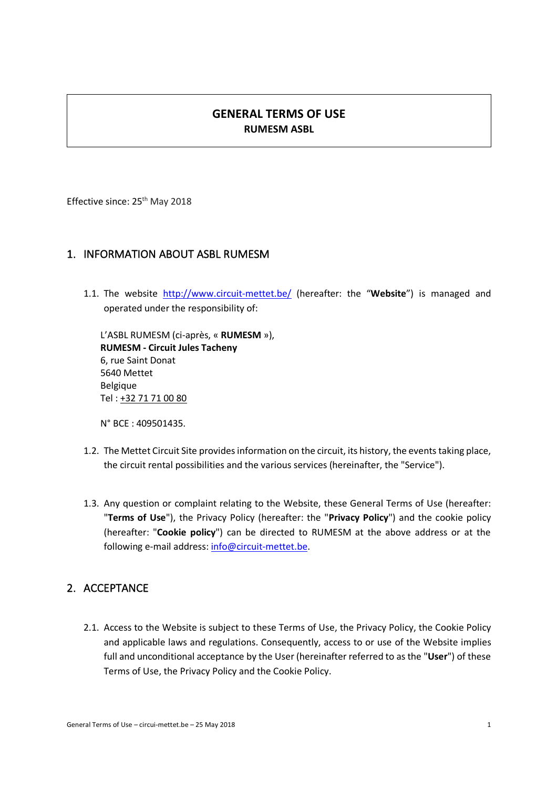# **GENERAL TERMS OF USE RUMESM ASBL**

Effective since: 25<sup>th</sup> May 2018

## 1. INFORMATION ABOUT ASBL RUMESM

1.1. The website http://www.circuit-mettet.be/ (hereafter: the "**Website**") is managed and operated under the responsibility of:

L'ASBL RUMESM (ci-après, « **RUMESM** »), **RUMESM - Circuit Jules Tacheny** 6, rue Saint Donat 5640 Mettet Belgique Tel : +32 71 71 00 80

N° BCE : 409501435.

- 1.2. The Mettet Circuit Site provides information on the circuit, its history, the events taking place, the circuit rental possibilities and the various services (hereinafter, the "Service").
- 1.3. Any question or complaint relating to the Website, these General Terms of Use (hereafter: "**Terms of Use**"), the Privacy Policy (hereafter: the "**Privacy Policy**") and the cookie policy (hereafter: "**Cookie policy**") can be directed to RUMESM at the above address or at the following e-mail address: info@circuit-mettet.be.

#### 2. ACCEPTANCE

2.1. Access to the Website is subject to these Terms of Use, the Privacy Policy, the Cookie Policy and applicable laws and regulations. Consequently, access to or use of the Website implies full and unconditional acceptance by the User (hereinafter referred to as the "**User**") of these Terms of Use, the Privacy Policy and the Cookie Policy.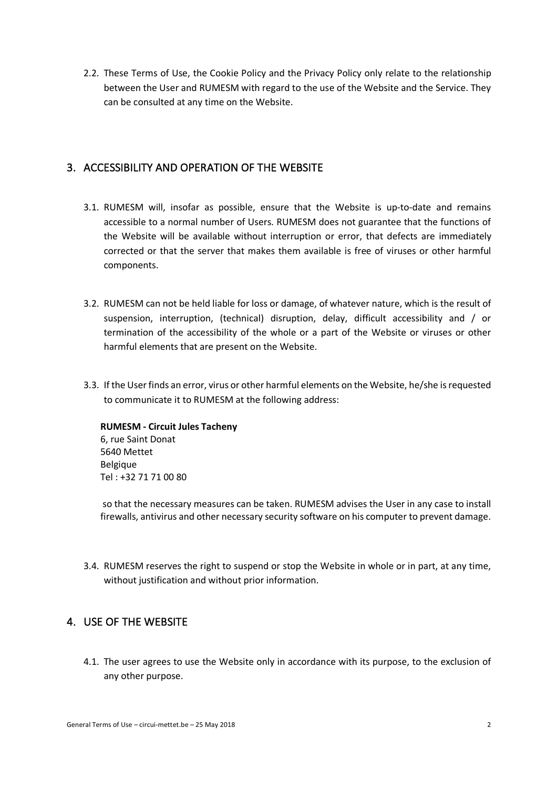2.2. These Terms of Use, the Cookie Policy and the Privacy Policy only relate to the relationship between the User and RUMESM with regard to the use of the Website and the Service. They can be consulted at any time on the Website.

### 3. ACCESSIBILITY AND OPERATION OF THE WEBSITE

- 3.1. RUMESM will, insofar as possible, ensure that the Website is up-to-date and remains accessible to a normal number of Users. RUMESM does not guarantee that the functions of the Website will be available without interruption or error, that defects are immediately corrected or that the server that makes them available is free of viruses or other harmful components.
- 3.2. RUMESM can not be held liable for loss or damage, of whatever nature, which is the result of suspension, interruption, (technical) disruption, delay, difficult accessibility and / or termination of the accessibility of the whole or a part of the Website or viruses or other harmful elements that are present on the Website.
- 3.3. If the User finds an error, virus or other harmful elements on the Website, he/she is requested to communicate it to RUMESM at the following address:

**RUMESM - Circuit Jules Tacheny** 6, rue Saint Donat 5640 Mettet Belgique Tel : +32 71 71 00 80

so that the necessary measures can be taken. RUMESM advises the User in any case to install firewalls, antivirus and other necessary security software on his computer to prevent damage.

3.4. RUMESM reserves the right to suspend or stop the Website in whole or in part, at any time, without justification and without prior information.

# 4. USE OF THE WEBSITE

4.1. The user agrees to use the Website only in accordance with its purpose, to the exclusion of any other purpose.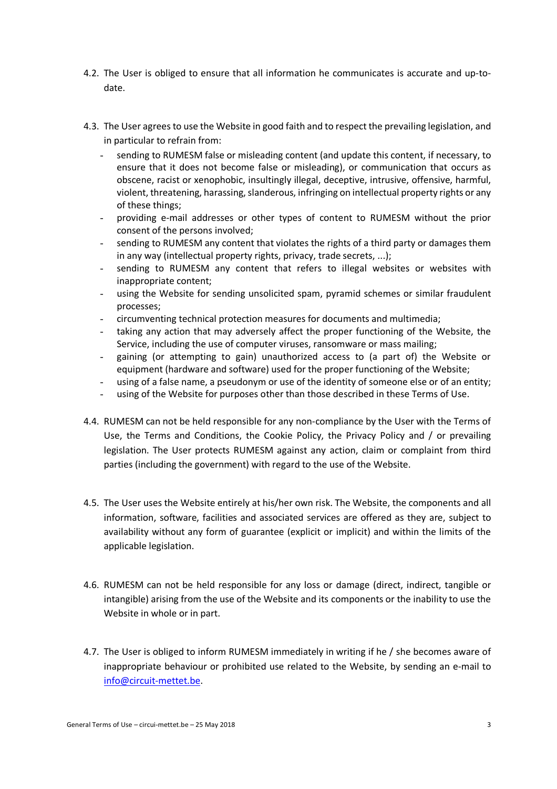- 4.2. The User is obliged to ensure that all information he communicates is accurate and up-todate.
- 4.3. The User agrees to use the Website in good faith and to respect the prevailing legislation, and in particular to refrain from:
	- sending to RUMESM false or misleading content (and update this content, if necessary, to ensure that it does not become false or misleading), or communication that occurs as obscene, racist or xenophobic, insultingly illegal, deceptive, intrusive, offensive, harmful, violent, threatening, harassing, slanderous, infringing on intellectual property rights or any of these things;
	- providing e-mail addresses or other types of content to RUMESM without the prior consent of the persons involved;
	- sending to RUMESM any content that violates the rights of a third party or damages them in any way (intellectual property rights, privacy, trade secrets, ...);
	- sending to RUMESM any content that refers to illegal websites or websites with inappropriate content;
	- using the Website for sending unsolicited spam, pyramid schemes or similar fraudulent processes;
	- circumventing technical protection measures for documents and multimedia;
	- taking any action that may adversely affect the proper functioning of the Website, the Service, including the use of computer viruses, ransomware or mass mailing;
	- gaining (or attempting to gain) unauthorized access to (a part of) the Website or equipment (hardware and software) used for the proper functioning of the Website;
	- using of a false name, a pseudonym or use of the identity of someone else or of an entity;
	- using of the Website for purposes other than those described in these Terms of Use.
- 4.4. RUMESM can not be held responsible for any non-compliance by the User with the Terms of Use, the Terms and Conditions, the Cookie Policy, the Privacy Policy and / or prevailing legislation. The User protects RUMESM against any action, claim or complaint from third parties (including the government) with regard to the use of the Website.
- 4.5. The User uses the Website entirely at his/her own risk. The Website, the components and all information, software, facilities and associated services are offered as they are, subject to availability without any form of guarantee (explicit or implicit) and within the limits of the applicable legislation.
- 4.6. RUMESM can not be held responsible for any loss or damage (direct, indirect, tangible or intangible) arising from the use of the Website and its components or the inability to use the Website in whole or in part.
- 4.7. The User is obliged to inform RUMESM immediately in writing if he / she becomes aware of inappropriate behaviour or prohibited use related to the Website, by sending an e-mail to info@circuit-mettet.be.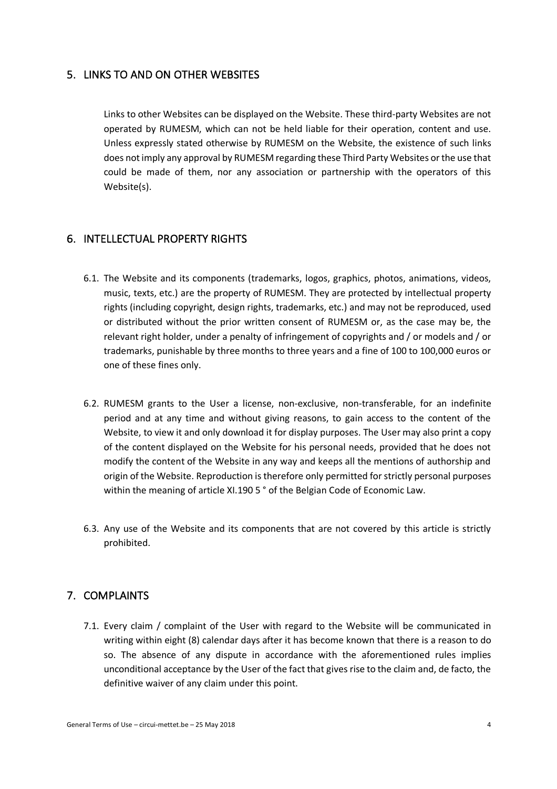#### 5. LINKS TO AND ON OTHER WEBSITES

Links to other Websites can be displayed on the Website. These third-party Websites are not operated by RUMESM, which can not be held liable for their operation, content and use. Unless expressly stated otherwise by RUMESM on the Website, the existence of such links does not imply any approval by RUMESM regarding these Third Party Websites or the use that could be made of them, nor any association or partnership with the operators of this Website(s).

#### 6. INTELLECTUAL PROPERTY RIGHTS

- 6.1. The Website and its components (trademarks, logos, graphics, photos, animations, videos, music, texts, etc.) are the property of RUMESM. They are protected by intellectual property rights (including copyright, design rights, trademarks, etc.) and may not be reproduced, used or distributed without the prior written consent of RUMESM or, as the case may be, the relevant right holder, under a penalty of infringement of copyrights and / or models and / or trademarks, punishable by three months to three years and a fine of 100 to 100,000 euros or one of these fines only.
- 6.2. RUMESM grants to the User a license, non-exclusive, non-transferable, for an indefinite period and at any time and without giving reasons, to gain access to the content of the Website, to view it and only download it for display purposes. The User may also print a copy of the content displayed on the Website for his personal needs, provided that he does not modify the content of the Website in any way and keeps all the mentions of authorship and origin of the Website. Reproduction is therefore only permitted for strictly personal purposes within the meaning of article XI.190 5 ° of the Belgian Code of Economic Law.
- 6.3. Any use of the Website and its components that are not covered by this article is strictly prohibited.

#### 7. COMPLAINTS

7.1. Every claim / complaint of the User with regard to the Website will be communicated in writing within eight (8) calendar days after it has become known that there is a reason to do so. The absence of any dispute in accordance with the aforementioned rules implies unconditional acceptance by the User of the fact that gives rise to the claim and, de facto, the definitive waiver of any claim under this point.